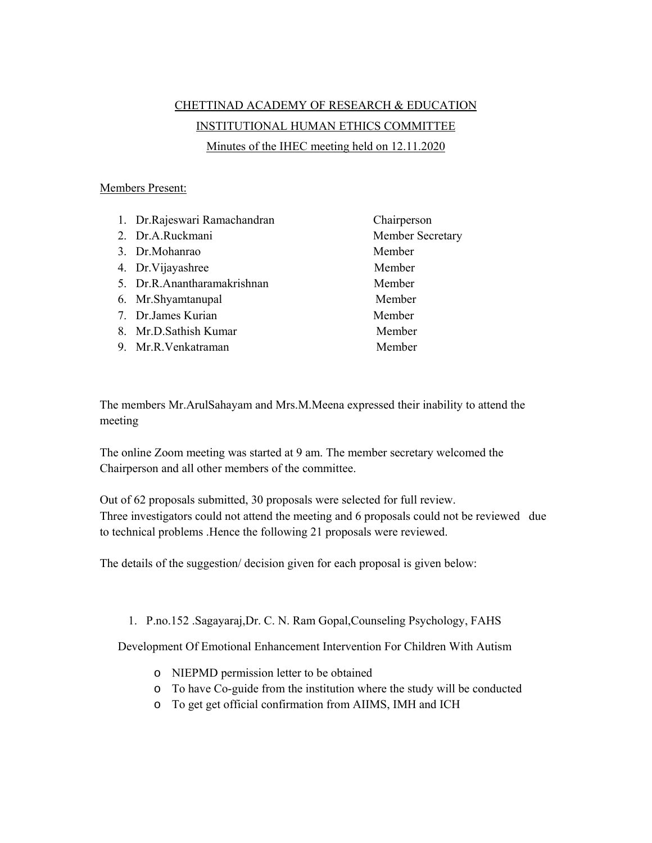## CHETTINAD ACADEMY OF RESEARCH & EDUCATION INSTITUTIONAL HUMAN ETHICS COMMITTEE Minutes of the IHEC meeting held on 12.11.2020

## Members Present:

| 1. Dr.Rajeswari Ramachandran | Chairperson      |
|------------------------------|------------------|
| 2. Dr.A.Ruckmani             | Member Secretary |
| 3. Dr.Mohanrao               | Member           |
| 4. Dr. Vijayashree           | Member           |
| 5. Dr.R.Anantharamakrishnan  | Member           |
| 6. Mr.Shyamtanupal           | Member           |
| 7. Dr.James Kurian           | Member           |
| 8. Mr.D.Sathish Kumar        | Member           |
| 9. Mr.R.Venkatraman          | Member           |

The members Mr.ArulSahayam and Mrs.M.Meena expressed their inability to attend the meeting

The online Zoom meeting was started at 9 am. The member secretary welcomed the Chairperson and all other members of the committee.

Out of 62 proposals submitted, 30 proposals were selected for full review. Three investigators could not attend the meeting and 6 proposals could not be reviewed due to technical problems .Hence the following 21 proposals were reviewed.

The details of the suggestion/ decision given for each proposal is given below:

1. P.no.152 .Sagayaraj,Dr. C. N. Ram Gopal,Counseling Psychology, FAHS

Development Of Emotional Enhancement Intervention For Children With Autism

- o NIEPMD permission letter to be obtained
- o To have Co-guide from the institution where the study will be conducted
- o To get get official confirmation from AIIMS, IMH and ICH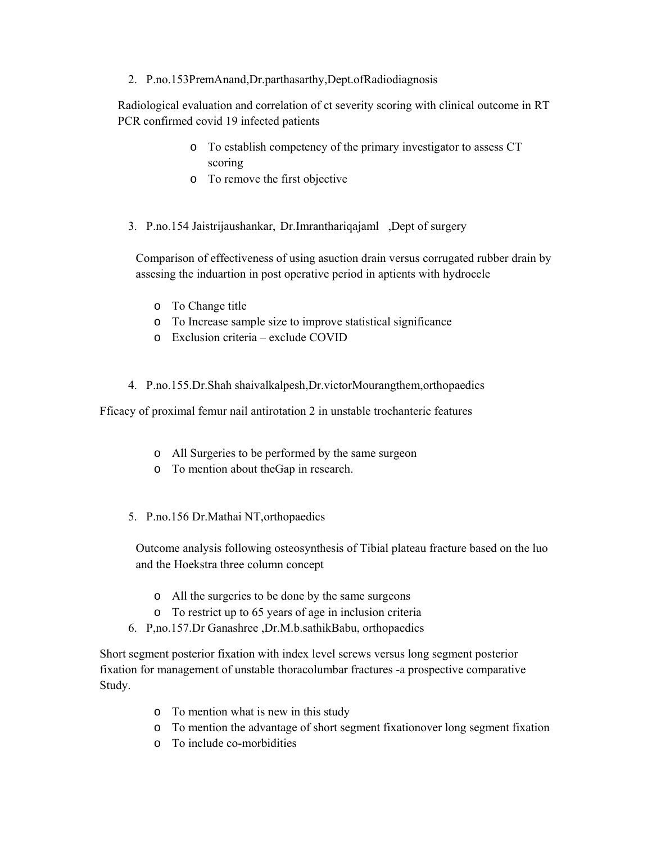2. P.no.153PremAnand,Dr.parthasarthy,Dept.ofRadiodiagnosis

Radiological evaluation and correlation of ct severity scoring with clinical outcome in RT PCR confirmed covid 19 infected patients

- o To establish competency of the primary investigator to assess CT scoring
- o To remove the first objective
- 3. P.no.154 Jaistrijaushankar, Dr.Imranthariqajaml ,Dept of surgery

Comparison of effectiveness of using asuction drain versus corrugated rubber drain by assesing the induartion in post operative period in aptients with hydrocele

- o To Change title
- o To Increase sample size to improve statistical significance
- o Exclusion criteria exclude COVID
- 4. P.no.155.Dr.Shah shaivalkalpesh,Dr.victorMourangthem,orthopaedics

Fficacy of proximal femur nail antirotation 2 in unstable trochanteric features

- o All Surgeries to be performed by the same surgeon
- o To mention about theGap in research.
- 5. P.no.156 Dr.Mathai NT,orthopaedics

Outcome analysis following osteosynthesis of Tibial plateau fracture based on the luo and the Hoekstra three column concept

- o All the surgeries to be done by the same surgeons
- o To restrict up to 65 years of age in inclusion criteria
- 6. P,no.157.Dr Ganashree ,Dr.M.b.sathikBabu, orthopaedics

Short segment posterior fixation with index level screws versus long segment posterior fixation for management of unstable thoracolumbar fractures -a prospective comparative Study.

- o To mention what is new in this study
- o To mention the advantage of short segment fixationover long segment fixation
- o To include co-morbidities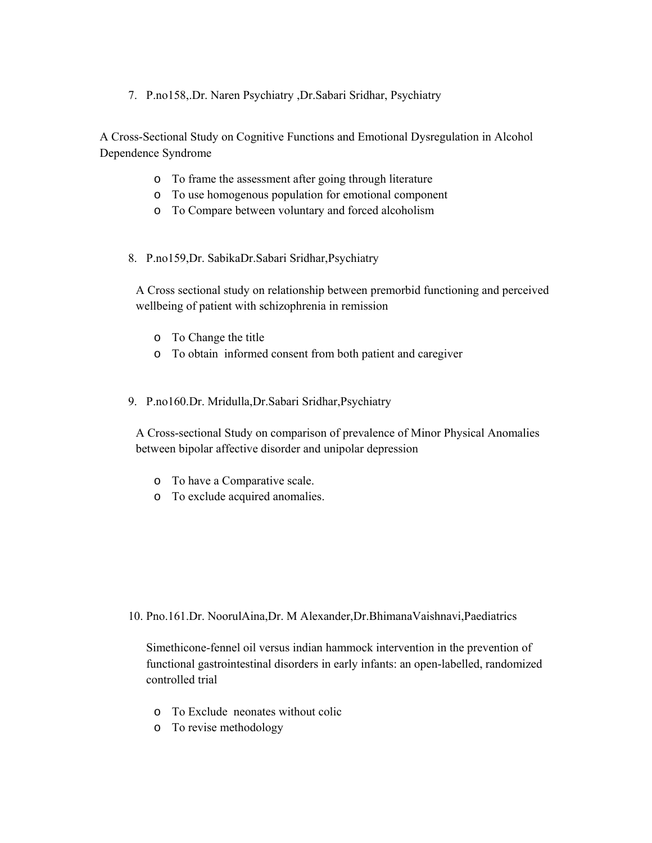7. P.no158,.Dr. Naren Psychiatry ,Dr.Sabari Sridhar, Psychiatry

A Cross-Sectional Study on Cognitive Functions and Emotional Dysregulation in Alcohol Dependence Syndrome

- o To frame the assessment after going through literature
- o To use homogenous population for emotional component
- o To Compare between voluntary and forced alcoholism
- 8. P.no159,Dr. SabikaDr.Sabari Sridhar,Psychiatry

A Cross sectional study on relationship between premorbid functioning and perceived wellbeing of patient with schizophrenia in remission

- o To Change the title
- o To obtain informed consent from both patient and caregiver
- 9. P.no160.Dr. Mridulla,Dr.Sabari Sridhar,Psychiatry

A Cross-sectional Study on comparison of prevalence of Minor Physical Anomalies between bipolar affective disorder and unipolar depression

- o To have a Comparative scale.
- o To exclude acquired anomalies.

10. Pno.161.Dr. NoorulAina,Dr. M Alexander,Dr.BhimanaVaishnavi,Paediatrics

Simethicone-fennel oil versus indian hammock intervention in the prevention of functional gastrointestinal disorders in early infants: an open-labelled, randomized controlled trial

- o To Exclude neonates without colic
- o To revise methodology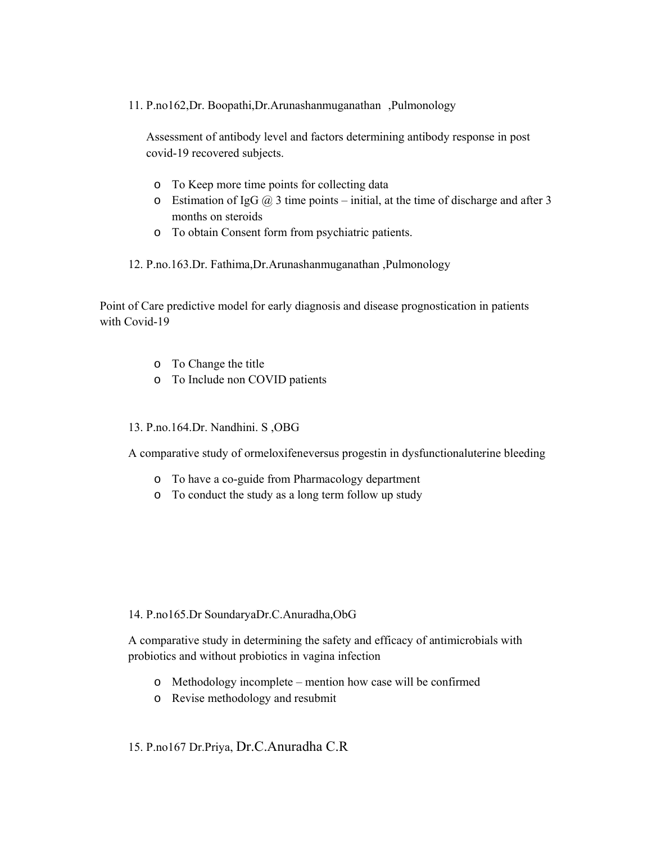11. P.no162,Dr. Boopathi,Dr.Arunashanmuganathan ,Pulmonology

Assessment of antibody level and factors determining antibody response in post covid-19 recovered subjects.

- o To Keep more time points for collecting data
- o Estimation of IgG  $\omega$  3 time points initial, at the time of discharge and after 3 months on steroids
- o To obtain Consent form from psychiatric patients.

12. P.no.163.Dr. Fathima,Dr.Arunashanmuganathan ,Pulmonology

Point of Care predictive model for early diagnosis and disease prognostication in patients with Covid-19

- o To Change the title
- o To Include non COVID patients

13. P.no.164.Dr. Nandhini. S ,OBG

A comparative study of ormeloxifeneversus progestin in dysfunctionaluterine bleeding

- o To have a co-guide from Pharmacology department
- o To conduct the study as a long term follow up study

## 14. P.no165.Dr SoundaryaDr.C.Anuradha,ObG

A comparative study in determining the safety and efficacy of antimicrobials with probiotics and without probiotics in vagina infection

- o Methodology incomplete mention how case will be confirmed
- o Revise methodology and resubmit

## 15. P.no167 Dr.Priya, Dr.C.Anuradha C.R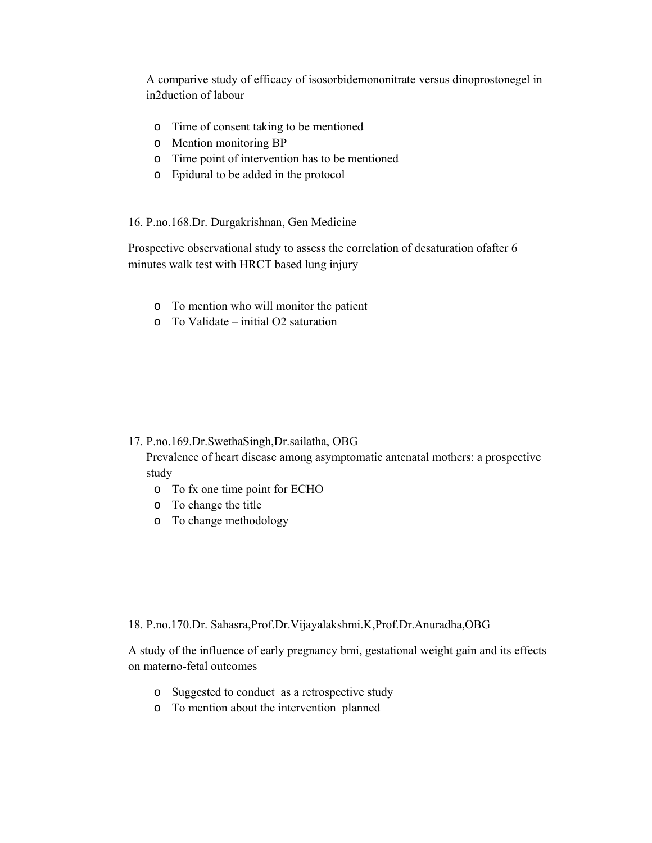A comparive study of efficacy of isosorbidemononitrate versus dinoprostonegel in in2duction of labour

- o Time of consent taking to be mentioned
- o Mention monitoring BP
- o Time point of intervention has to be mentioned
- o Epidural to be added in the protocol

16. P.no.168.Dr. Durgakrishnan, Gen Medicine

Prospective observational study to assess the correlation of desaturation ofafter 6 minutes walk test with HRCT based lung injury

- o To mention who will monitor the patient
- o To Validate initial O2 saturation

17. P.no.169.Dr.SwethaSingh,Dr.sailatha, OBG

Prevalence of heart disease among asymptomatic antenatal mothers: a prospective study

- o To fx one time point for ECHO
- o To change the title
- o To change methodology

18. P.no.170.Dr. Sahasra,Prof.Dr.Vijayalakshmi.K,Prof.Dr.Anuradha,OBG

A study of the influence of early pregnancy bmi, gestational weight gain and its effects on materno-fetal outcomes

- o Suggested to conduct as a retrospective study
- o To mention about the intervention planned